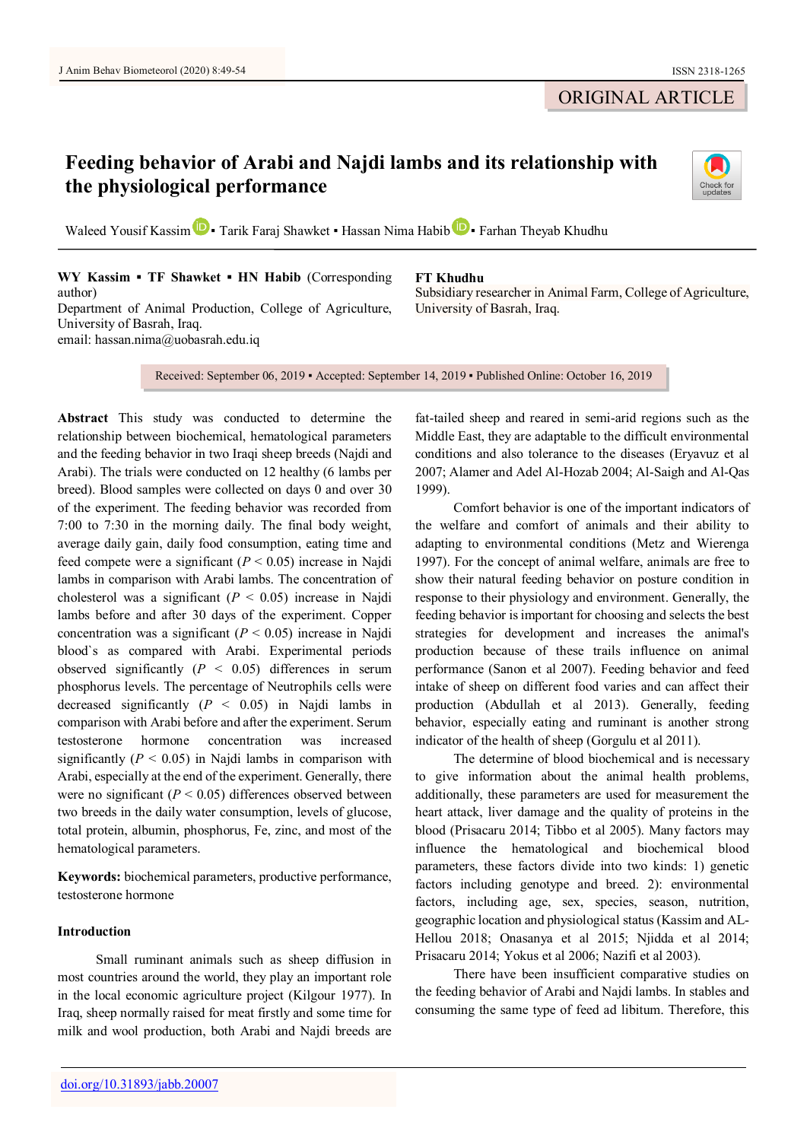## ORIGINAL ARTICLE

# **Feeding behavior of Arabi and Najdi lambs and its relationship with the physiological performance**



Waleed Yousif Kassim **D** Tarik Faraj Shawket • Hassan Nima Habib **D** • Farhan Theyab Khudhu

**WY Kassim ▪ TF Shawket ▪ HN Habib** (Corresponding author)

**FT Khudhu**

Subsidiary researcher in Animal Farm, College of Agriculture, University of Basrah, Iraq.

Department of Animal Production, College of Agriculture, University of Basrah, Iraq. email: hassan.nima@uobasrah.edu.iq

Received: September 06, 2019 ▪ Accepted: September 14, 2019 ▪ Published Online: October 16, 2019

**Abstract** This study was conducted to determine the relationship between biochemical, hematological parameters and the feeding behavior in two Iraqi sheep breeds (Najdi and Arabi). The trials were conducted on 12 healthy (6 lambs per breed). Blood samples were collected on days 0 and over 30 of the experiment. The feeding behavior was recorded from 7:00 to 7:30 in the morning daily. The final body weight, average daily gain, daily food consumption, eating time and feed compete were a significant  $(P < 0.05)$  increase in Najdi lambs in comparison with Arabi lambs. The concentration of cholesterol was a significant (*P* < 0.05) increase in Najdi lambs before and after 30 days of the experiment. Copper concentration was a significant  $(P < 0.05)$  increase in Najdi blood`s as compared with Arabi. Experimental periods observed significantly  $(P < 0.05)$  differences in serum phosphorus levels. The percentage of Neutrophils cells were decreased significantly (*P* < 0.05) in Najdi lambs in comparison with Arabi before and after the experiment. Serum testosterone hormone concentration was increased significantly  $(P < 0.05)$  in Najdi lambs in comparison with Arabi, especially at the end of the experiment. Generally, there were no significant  $(P < 0.05)$  differences observed between two breeds in the daily water consumption, levels of glucose, total protein, albumin, phosphorus, Fe, zinc, and most of the hematological parameters.

**Keywords:** biochemical parameters, productive performance, testosterone hormone

## **Introduction**

Small ruminant animals such as sheep diffusion in most countries around the world, they play an important role in the local economic agriculture project (Kilgour 1977). In Iraq, sheep normally raised for meat firstly and some time for milk and wool production, both Arabi and Najdi breeds are

fat-tailed sheep and reared in semi-arid regions such as the Middle East, they are adaptable to the difficult environmental conditions and also tolerance to the diseases (Eryavuz et al 2007; Alamer and Adel Al-Hozab 2004; Al-Saigh and Al-Qas 1999).

Comfort behavior is one of the important indicators of the welfare and comfort of animals and their ability to adapting to environmental conditions (Metz and Wierenga 1997). For the concept of animal welfare, animals are free to show their natural feeding behavior on posture condition in response to their physiology and environment. Generally, the feeding behavior is important for choosing and selects the best strategies for development and increases the animal's production because of these trails influence on animal performance (Sanon et al 2007). Feeding behavior and feed intake of sheep on different food varies and can affect their production (Abdullah et al 2013). Generally, feeding behavior, especially eating and ruminant is another strong indicator of the health of sheep (Gorgulu et al 2011).

The determine of blood biochemical and is necessary to give information about the animal health problems, additionally, these parameters are used for measurement the heart attack, liver damage and the quality of proteins in the blood (Prisacaru 2014; Tibbo et al 2005). Many factors may influence the hematological and biochemical blood parameters, these factors divide into two kinds: 1) genetic factors including genotype and breed. 2): environmental factors, including age, sex, species, season, nutrition, geographic location and physiological status (Kassim and AL-Hellou 2018; Onasanya et al 2015; Njidda et al 2014; Prisacaru 2014; Yokus et al 2006; Nazifi et al 2003).

There have been insufficient comparative studies on the feeding behavior of Arabi and Najdi lambs. In stables and consuming the same type of feed ad libitum. Therefore, this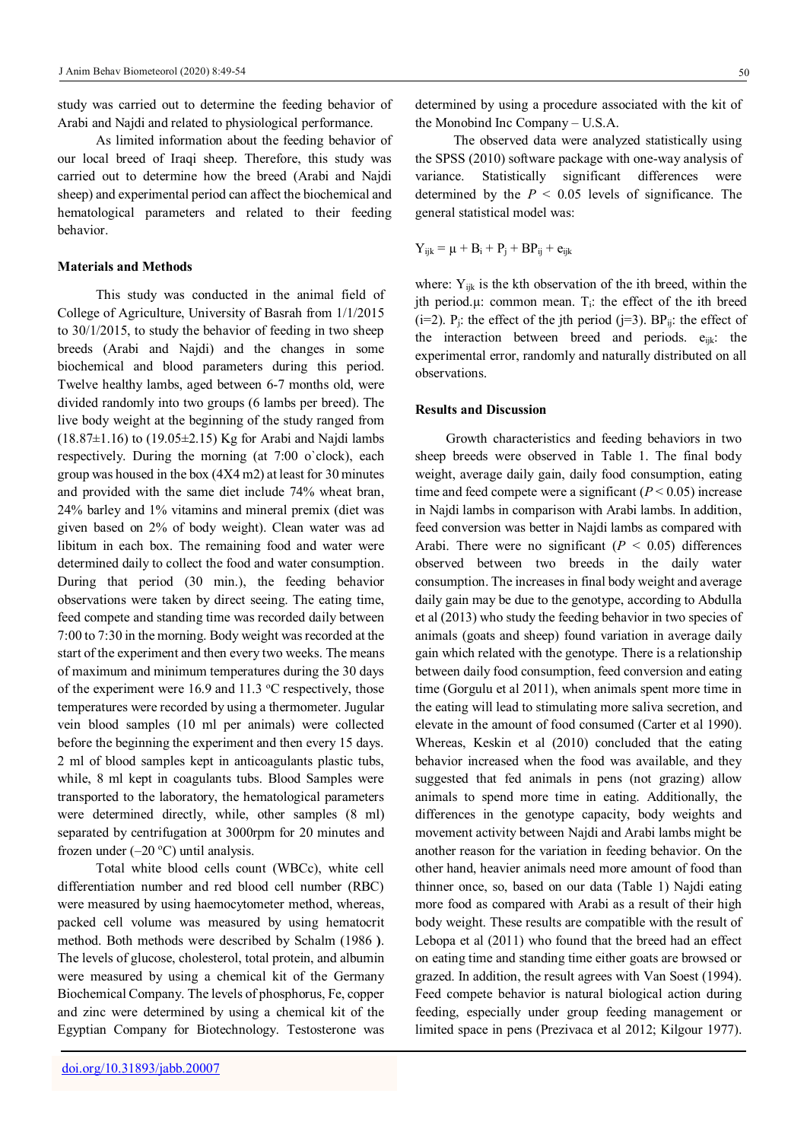study was carried out to determine the feeding behavior of Arabi and Najdi and related to physiological performance.

As limited information about the feeding behavior of our local breed of Iraqi sheep. Therefore, this study was carried out to determine how the breed (Arabi and Najdi sheep) and experimental period can affect the biochemical and hematological parameters and related to their feeding behavior.

## **Materials and Methods**

This study was conducted in the animal field of College of Agriculture, University of Basrah from 1/1/2015 to 30/1/2015, to study the behavior of feeding in two sheep breeds (Arabi and Najdi) and the changes in some biochemical and blood parameters during this period. Twelve healthy lambs, aged between 6-7 months old, were divided randomly into two groups (6 lambs per breed). The live body weight at the beginning of the study ranged from  $(18.87\pm1.16)$  to  $(19.05\pm2.15)$  Kg for Arabi and Najdi lambs respectively. During the morning (at 7:00 o`clock), each group was housed in the box (4X4 m2) at least for 30 minutes and provided with the same diet include 74% wheat bran, 24% barley and 1% vitamins and mineral premix (diet was given based on 2% of body weight). Clean water was ad libitum in each box. The remaining food and water were determined daily to collect the food and water consumption. During that period (30 min.), the feeding behavior observations were taken by direct seeing. The eating time, feed compete and standing time was recorded daily between 7:00 to 7:30 in the morning. Body weight was recorded at the start of the experiment and then every two weeks. The means of maximum and minimum temperatures during the 30 days of the experiment were 16.9 and 11.3  $\degree$ C respectively, those temperatures were recorded by using a thermometer. Jugular vein blood samples (10 ml per animals) were collected before the beginning the experiment and then every 15 days. 2 ml of blood samples kept in anticoagulants plastic tubs, while, 8 ml kept in coagulants tubs. Blood Samples were transported to the laboratory, the hematological parameters were determined directly, while, other samples (8 ml) separated by centrifugation at 3000rpm for 20 minutes and frozen under  $(-20 °C)$  until analysis.

Total white blood cells count (WBCc), white cell differentiation number and red blood cell number (RBC) were measured by using haemocytometer method, whereas, packed cell volume was measured by using hematocrit method. Both methods were described by Schalm (1986). The levels of glucose, cholesterol, total protein, and albumin were measured by using a chemical kit of the Germany Biochemical Company. The levels of phosphorus, Fe, copper and zinc were determined by using a chemical kit of the Egyptian Company for Biotechnology. Testosterone was determined by using a procedure associated with the kit of the Monobind Inc Company – U.S.A.

The observed data were analyzed statistically using the SPSS (2010) software package with one-way analysis of variance. Statistically significant differences were determined by the  $P < 0.05$  levels of significance. The general statistical model was:

$$
Y_{ijk} = \mu + B_i + P_j + BP_{ij} + e_{ijk}
$$

where:  $Y_{ijk}$  is the kth observation of the ith breed, within the jth period. $\mu$ : common mean. T<sub>i</sub>: the effect of the ith breed  $(i=2)$ . P<sub>i</sub>: the effect of the jth period  $(i=3)$ . BP<sub>ij</sub>: the effect of the interaction between breed and periods.  $e_{ijk}$ : the experimental error, randomly and naturally distributed on all observations.

#### **Results and Discussion**

Growth characteristics and feeding behaviors in two sheep breeds were observed in Table 1. The final body weight, average daily gain, daily food consumption, eating time and feed compete were a significant  $(P < 0.05)$  increase in Najdi lambs in comparison with Arabi lambs. In addition, feed conversion was better in Najdi lambs as compared with Arabi. There were no significant  $(P < 0.05)$  differences observed between two breeds in the daily water consumption. The increases in final body weight and average daily gain may be due to the genotype, according to Abdulla et al (2013) who study the feeding behavior in two species of animals (goats and sheep) found variation in average daily gain which related with the genotype. There is a relationship between daily food consumption, feed conversion and eating time (Gorgulu et al 2011), when animals spent more time in the eating will lead to stimulating more saliva secretion, and elevate in the amount of food consumed (Carter et al 1990). Whereas, Keskin et al (2010) concluded that the eating behavior increased when the food was available, and they suggested that fed animals in pens (not grazing) allow animals to spend more time in eating. Additionally, the differences in the genotype capacity, body weights and movement activity between Najdi and Arabi lambs might be another reason for the variation in feeding behavior. On the other hand, heavier animals need more amount of food than thinner once, so, based on our data (Table 1) Najdi eating more food as compared with Arabi as a result of their high body weight. These results are compatible with the result of Lebopa et al (2011) who found that the breed had an effect on eating time and standing time either goats are browsed or grazed. In addition, the result agrees with Van Soest (1994). Feed compete behavior is natural biological action during feeding, especially under group feeding management or limited space in pens (Prezivaca et al 2012; Kilgour 1977).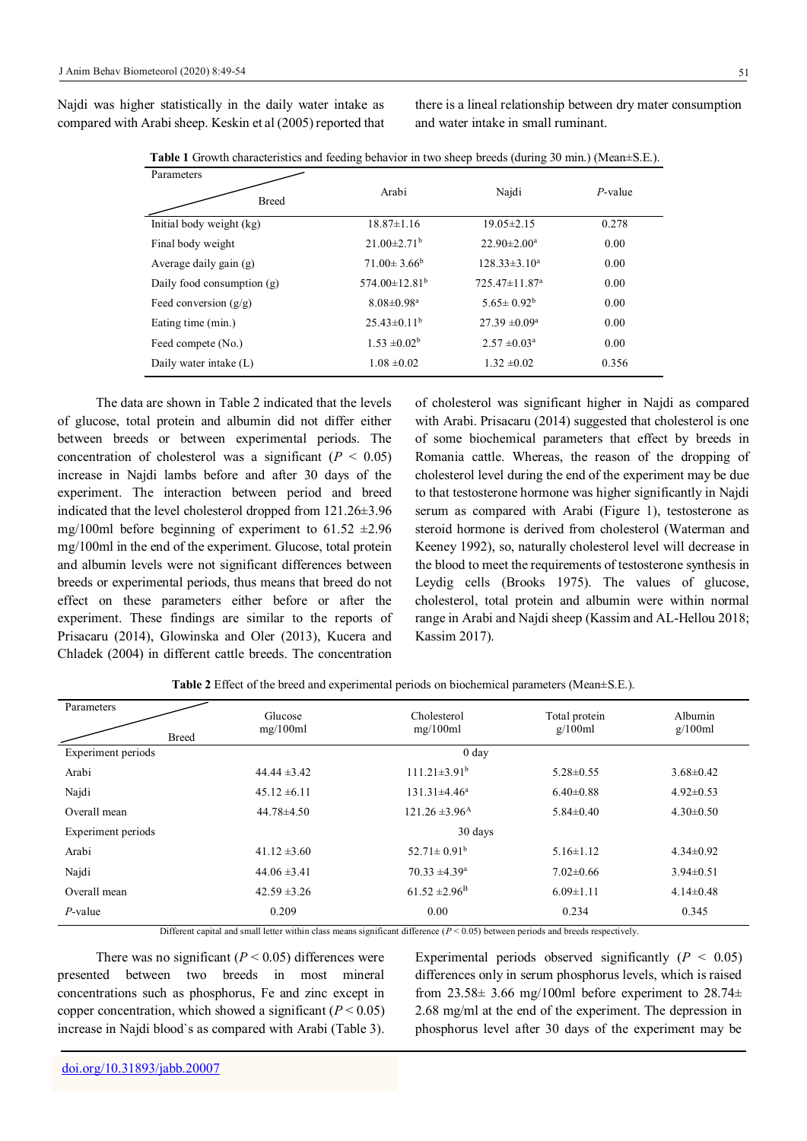Najdi was higher statistically in the daily water intake as compared with Arabi sheep. Keskin et al (2005) reported that

there is a lineal relationship between dry mater consumption and water intake in small ruminant.

| Table 1 Growth characteristics and feeding behavior in two sheep breeds (during 30 min.) (Mean±S.E.). |  |
|-------------------------------------------------------------------------------------------------------|--|
|-------------------------------------------------------------------------------------------------------|--|

| Parameters                   |                                 |                                 |            |  |  |
|------------------------------|---------------------------------|---------------------------------|------------|--|--|
| <b>Breed</b>                 | Arabi                           | Najdi                           | $P$ -value |  |  |
| Initial body weight (kg)     | $18.87 \pm 1.16$                | $19.05 \pm 2.15$                | 0.278      |  |  |
| Final body weight            | $21.00 \pm 2.71$ <sup>b</sup>   | $22.90 \pm 2.00^a$              | 0.00       |  |  |
| Average daily gain $(g)$     | $71.00 \pm 3.66^b$              | $128.33 \pm 3.10^a$             | 0.00       |  |  |
| Daily food consumption $(g)$ | 574.00 $\pm$ 12.81 <sup>b</sup> | $725.47 \pm 11.87$ <sup>a</sup> | 0.00       |  |  |
| Feed conversion $(g/g)$      | $8.08 \pm 0.98$ <sup>a</sup>    | $5.65 \pm 0.92^b$               | 0.00       |  |  |
| Eating time (min.)           | $25.43\pm0.11^{b}$              | $27.39 \pm 0.09^a$              | 0.00       |  |  |
| Feed compete (No.)           | $1.53 \pm 0.02^b$               | $2.57 \pm 0.03^{\circ}$         | 0.00       |  |  |
| Daily water intake (L)       | $1.08 \pm 0.02$                 | $1.32 \pm 0.02$                 | 0.356      |  |  |
|                              |                                 |                                 |            |  |  |

The data are shown in Table 2 indicated that the levels of glucose, total protein and albumin did not differ either between breeds or between experimental periods. The concentration of cholesterol was a significant ( $P < 0.05$ ) increase in Najdi lambs before and after 30 days of the experiment. The interaction between period and breed indicated that the level cholesterol dropped from 121.26±3.96 mg/100ml before beginning of experiment to  $61.52 \pm 2.96$ mg/100ml in the end of the experiment. Glucose, total protein and albumin levels were not significant differences between breeds or experimental periods, thus means that breed do not effect on these parameters either before or after the experiment. These findings are similar to the reports of Prisacaru (2014), Glowinska and Oler (2013), Kucera and Chladek (2004) in different cattle breeds. The concentration

of cholesterol was significant higher in Najdi as compared with Arabi. Prisacaru (2014) suggested that cholesterol is one of some biochemical parameters that effect by breeds in Romania cattle. Whereas, the reason of the dropping of cholesterol level during the end of the experiment may be due to that testosterone hormone was higher significantly in Najdi serum as compared with Arabi (Figure 1), testosterone as [steroid](http://en.wikipedia.org/wiki/Steroid) hormone is derived from [cholesterol](http://en.wikipedia.org/wiki/Cholesterol) (Waterman and Keeney 1992), so, naturally cholesterol level will decrease in the blood to meet the requirements of testosterone synthesis in [Leydig cells](http://en.wikipedia.org/wiki/Leydig_cells) (Brooks 1975). The values of glucose, cholesterol, total protein and albumin were within normal range in Arabi and Najdi sheep (Kassim and AL-Hellou 2018; Kassim 2017).

| Parameters         | <b>Breed</b>     | Glucose<br>mg/100ml | Cholesterol<br>mg/100ml        | Total protein<br>g/100ml           | Albumin<br>g/100ml |
|--------------------|------------------|---------------------|--------------------------------|------------------------------------|--------------------|
| Experiment periods | 0 <sub>day</sub> |                     |                                |                                    |                    |
| Arabi              |                  | $44.44 \pm 3.42$    | $111.21 \pm 3.91^b$            | $5.28 \pm 0.55$                    | $3.68 \pm 0.42$    |
| Najdi              | $45.12 \pm 6.11$ |                     | $131.31 \pm 4.46^a$            | $6.40\pm0.88$                      | $4.92 \pm 0.53$    |
| Overall mean       |                  | $44.78\pm4.50$      | $121.26 \pm 3.96$ <sup>A</sup> | $4.30\pm0.50$<br>$5.84 \pm 0.40$   |                    |
| Experiment periods |                  |                     | 30 days                        |                                    |                    |
| Arabi              |                  | $41.12 \pm 3.60$    | $52.71 \pm 0.91^b$             | $4.34\pm0.92$<br>$5.16 \pm 1.12$   |                    |
| Najdi              |                  | $44.06 \pm 3.41$    | $70.33 \pm 4.39^{\text{a}}$    | $7.02 \pm 0.66$<br>$3.94 \pm 0.51$ |                    |
| Overall mean       |                  | $42.59 \pm 3.26$    | $61.52 \pm 2.96^{\rm B}$       | $6.09 \pm 1.11$<br>$4.14\pm0.48$   |                    |
| $P$ -value         |                  | 0.209               | 0.00                           | 0.234                              |                    |

**Table 2** Effect of the breed and experimental periods on biochemical parameters (Mean±S.E.).

Different capital and small letter within class means significant difference ( $P < 0.05$ ) between periods and breeds respectively.

There was no significant  $(P < 0.05)$  differences were presented between two breeds in most mineral concentrations such as phosphorus, Fe and zinc except in copper concentration, which showed a significant  $(P < 0.05)$ increase in Najdi blood`s as compared with Arabi (Table 3). Experimental periods observed significantly ( $P < 0.05$ ) differences only in serum phosphorus levels, which is raised from  $23.58\pm 3.66$  mg/100ml before experiment to  $28.74\pm$ 2.68 mg/ml at the end of the experiment. The depression in phosphorus level after 30 days of the experiment may be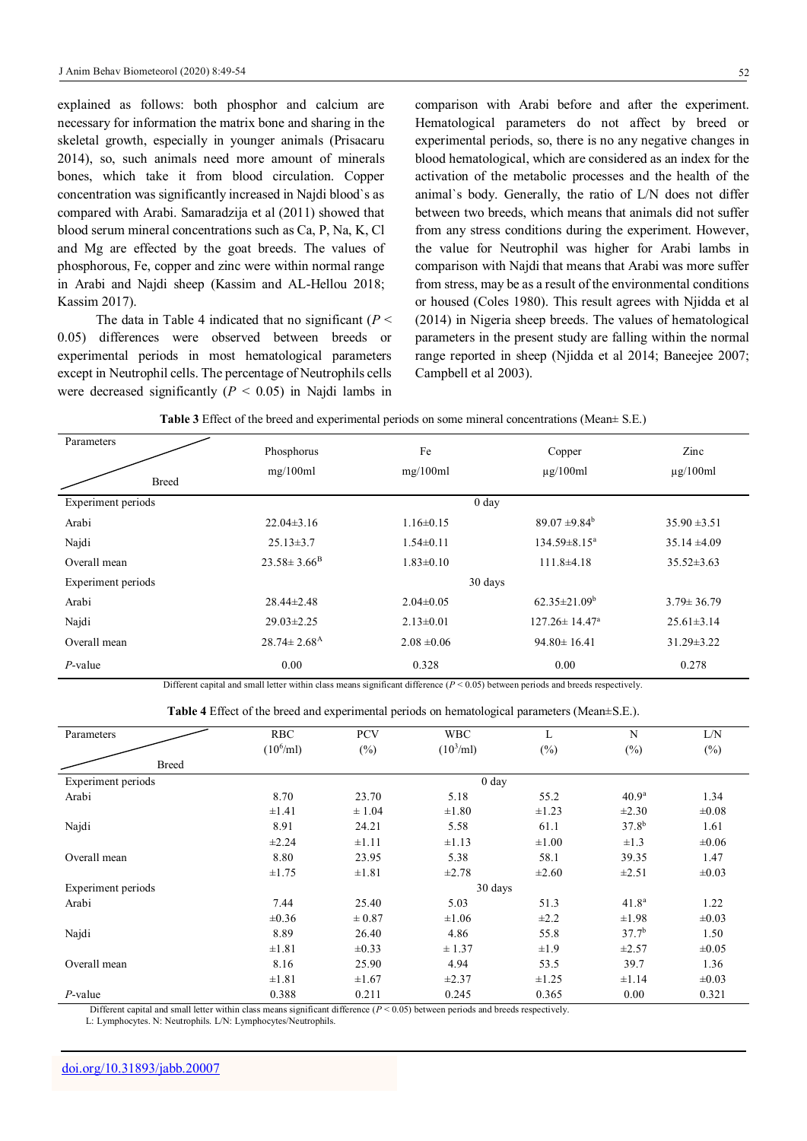explained as follows: both phosphor and calcium are necessary for information the matrix bone and sharing in the skeletal growth, especially in younger animals (Prisacaru 2014), so, such animals need more amount of minerals bones, which take it from blood circulation. Copper concentration was significantly increased in Najdi blood`s as compared with Arabi. Samaradzija et al (2011) showed that blood serum mineral concentrations such as Ca, P, Na, K, Cl and Mg are effected by the goat breeds. The values of phosphorous, Fe, copper and zinc were within normal range in Arabi and Najdi sheep (Kassim and AL-Hellou 2018; Kassim 2017).

The data in Table 4 indicated that no significant  $(P \leq$ 0.05) differences were observed between breeds or experimental periods in most hematological parameters except in Neutrophil cells. The percentage of Neutrophils cells were decreased significantly  $(P < 0.05)$  in Najdi lambs in

comparison with Arabi before and after the experiment. Hematological parameters do not affect by breed or experimental periods, so, there is no any negative changes in blood hematological, which are considered as an index for the activation of the metabolic processes and the health of the animal`s body. Generally, the ratio of L/N does not differ between two breeds, which means that animals did not suffer from any stress conditions during the experiment. However, the value for Neutrophil was higher for Arabi lambs in comparison with Najdi that means that Arabi was more suffer from stress, may be as a result of the environmental conditions or housed (Coles 1980). This result agrees with Njidda et al (2014) in Nigeria sheep breeds. The values of hematological parameters in the present study are falling within the normal range reported in sheep (Njidda et al 2014; Baneejee 2007; Campbell et al 2003).

| Parameters<br><b>Breed</b> | Phosphorus<br>mg/100ml        | Fe<br>mg/100ml                         | Copper<br>$\mu$ g/100ml         | Zinc<br>$\mu$ g/100ml |
|----------------------------|-------------------------------|----------------------------------------|---------------------------------|-----------------------|
| Experiment periods         |                               | 0 <sub>day</sub>                       |                                 |                       |
| Arabi                      | $22.04\pm3.16$                | $1.16 \pm 0.15$                        | $89.07 \pm 9.84^b$              | $35.90 \pm 3.51$      |
| Najdi                      | $25.13 \pm 3.7$               | $1.54 \pm 0.11$                        | $134.59 \pm 8.15^a$             | $35.14 \pm 4.09$      |
| Overall mean               | $23.58 \pm 3.66^B$            | $1.83 \pm 0.10$                        | $111.8 \pm 4.18$                | $35.52 \pm 3.63$      |
| Experiment periods         |                               | 30 days                                |                                 |                       |
| Arabi                      | $28.44 \pm 2.48$              | $62.35 \pm 21.09^b$<br>$2.04 \pm 0.05$ |                                 | $3.79 \pm 36.79$      |
| Najdi                      | $29.03 \pm 2.25$              | $2.13 \pm 0.01$                        | $127.26 \pm 14.47$ <sup>a</sup> | $25.61 \pm 3.14$      |
| Overall mean               | $28.74 \pm 2.68$ <sup>A</sup> | $2.08 \pm 0.06$                        | $94.80 \pm 16.41$               |                       |
| $P$ -value                 | 0.00                          | 0.328                                  | 0.00                            | 0.278                 |

**Table 3** Effect of the breed and experimental periods on some mineral concentrations (Mean± S.E.)

Different capital and small letter within class means significant difference (*P* < 0.05) between periods and breeds respectively.

**Table 4** Effect of the breed and experimental periods on hematological parameters (Mean±S.E.).

| Parameters         | <b>RBC</b>       | <b>PCV</b> | <b>WBC</b>  | L          | N                 | L/N        |
|--------------------|------------------|------------|-------------|------------|-------------------|------------|
|                    | $(10^6$ /ml)     | $(\%)$     | $(10^3/ml)$ | $(\%)$     | $(\%)$            | $(\%)$     |
| <b>Breed</b>       |                  |            |             |            |                   |            |
| Experiment periods | 0 <sub>day</sub> |            |             |            |                   |            |
| Arabi              | 8.70             | 23.70      | 5.18        | 55.2       | 40.9 <sup>a</sup> | 1.34       |
|                    | $\pm 1.41$       | $\pm 1.04$ | $\pm 1.80$  | $\pm 1.23$ | $\pm 2.30$        | $\pm 0.08$ |
| Najdi              | 8.91             | 24.21      | 5.58        | 61.1       | $37.8^{b}$        | 1.61       |
|                    | $\pm 2.24$       | ±1.11      | $\pm 1.13$  | $\pm 1.00$ | $\pm 1.3$         | $\pm 0.06$ |
| Overall mean       | 8.80             | 23.95      | 5.38        | 58.1       | 39.35             | 1.47       |
|                    | $\pm 1.75$       | ±1.81      | $\pm 2.78$  | $\pm 2.60$ | $\pm 2.51$        | $\pm 0.03$ |
| Experiment periods |                  | 30 days    |             |            |                   |            |
| Arabi              | 7.44             | 25.40      | 5.03        | 51.3       | 41.8 <sup>a</sup> | 1.22       |
|                    | $\pm 0.36$       | $\pm 0.87$ | $\pm 1.06$  | $\pm 2.2$  | $\pm 1.98$        | $\pm 0.03$ |
| Najdi              | 8.89             | 26.40      | 4.86        | 55.8       | 37.7 <sup>b</sup> | 1.50       |
|                    | $\pm 1.81$       | $\pm 0.33$ | ± 1.37      | ±1.9       | $\pm 2.57$        | $\pm 0.05$ |
| Overall mean       | 8.16             | 25.90      | 4.94        | 53.5       | 39.7              | 1.36       |
|                    | $\pm 1.81$       | $\pm 1.67$ | $\pm 2.37$  | $\pm 1.25$ | $\pm 1.14$        | $\pm 0.03$ |
| $P$ -value         | 0.388            | 0.211      | 0.245       | 0.365      | 0.00              | 0.321      |

Different capital and small letter within class means significant difference (*P* < 0.05) between periods and breeds respectively.

L: Lymphocytes. N: Neutrophils. L/N: Lymphocytes/Neutrophils.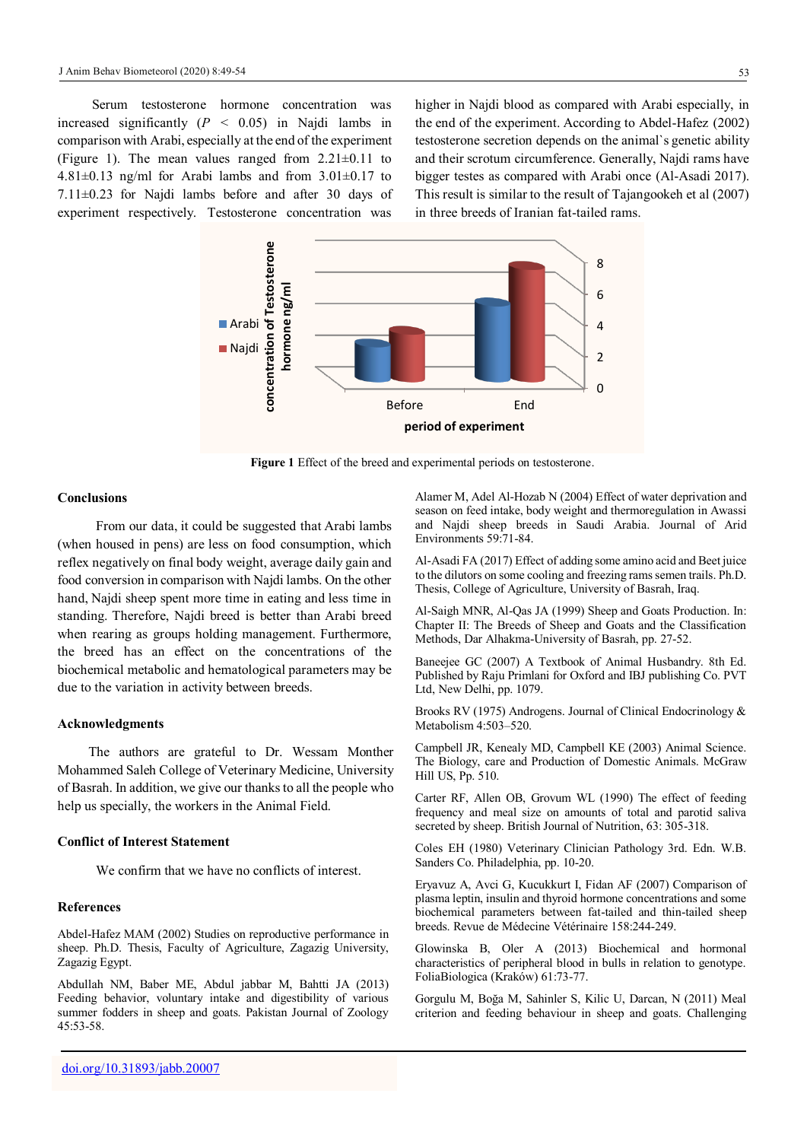Serum testosterone hormone concentration was increased significantly  $(P < 0.05)$  in Najdi lambs in comparison with Arabi, especially at the end of the experiment (Figure 1). The mean values ranged from  $2.21 \pm 0.11$  to 4.81 $\pm$ 0.13 ng/ml for Arabi lambs and from 3.01 $\pm$ 0.17 to 7.11±0.23 for Najdi lambs before and after 30 days of experiment respectively. Testosterone concentration was

higher in Najdi blood as compared with Arabi especially, in the end of the experiment. According to Abdel-Hafez (2002) testosterone secretion depends on the animal`s genetic ability and their scrotum circumference. Generally, Najdi rams have bigger testes as compared with Arabi once (Al-Asadi 2017). This result is similar to the result of Tajangookeh et al (2007) in three breeds of Iranian fat-tailed rams.



**Figure 1** Effect of the breed and experimental periods on testosterone.

#### **Conclusions**

From our data, it could be suggested that Arabi lambs (when housed in pens) are less on food consumption, which reflex negatively on final body weight, average daily gain and food conversion in comparison with Najdi lambs. On the other hand, Najdi sheep spent more time in eating and less time in standing. Therefore, Najdi breed is better than Arabi breed when rearing as groups holding management. Furthermore, the breed has an effect on the concentrations of the biochemical metabolic and hematological parameters may be due to the variation in activity between breeds.

#### **Acknowledgments**

The authors are grateful to Dr. Wessam Monther Mohammed Saleh College of Veterinary Medicine, University of Basrah. In addition, we give our thanks to all the people who help us specially, the workers in the Animal Field.

## **Conflict of Interest Statement**

We confirm that we have no conflicts of interest.

#### **References**

Abdel-Hafez MAM (2002) Studies on reproductive performance in sheep. Ph.D. Thesis, Faculty of Agriculture, Zagazig University, Zagazig Egypt.

Abdullah NM, Baber ME, Abdul jabbar M, Bahtti JA (2013) Feeding behavior, voluntary intake and digestibility of various summer fodders in sheep and goats. Pakistan Journal of Zoology 45:53-58.

Alamer M, Adel Al-Hozab N (2004[\) Effect of water deprivation and](http://cat.inist.fr/?aModele=afficheN&cpsidt=15919981)  [season on feed intake, body weight and thermoregulation in Awassi](http://cat.inist.fr/?aModele=afficheN&cpsidt=15919981)  [and Najdi sheep breeds in Saudi Arabia.](http://cat.inist.fr/?aModele=afficheN&cpsidt=15919981) Journal of Arid Environments 59:71-84.

Al-Asadi FA (2017) Effect of adding some amino acid and Beet juice to the dilutors on some cooling and freezing rams semen trails. Ph.D. Thesis, College of Agriculture, University of Basrah, Iraq.

Al-Saigh MNR, Al-Qas JA (1999) Sheep and Goats Production. In: Chapter II: The Breeds of Sheep and Goats and the Classification Methods, Dar Alhakma-University of Basrah, pp. 27-52.

Baneejee GC (2007) A Textbook of Animal Husbandry. 8th Ed. Published by Raju Primlani for Oxford and IBJ publishing Co. PVT Ltd, New Delhi, pp. 1079.

Brooks RV (1975) Androgens. Journal of Clinical Endocrinology & Metabolism 4:503–520.

Campbell JR, Kenealy MD, Campbell KE (2003) Animal Science. The Biology, care and Production of Domestic Animals. McGraw Hill US, Pp. 510.

Carter RF, Allen OB, Grovum WL (1990) The effect of feeding frequency and meal size on amounts of total and parotid saliva secreted by sheep. British Journal of Nutrition, 63: 305-318.

Coles EH (1980) Veterinary Clinician Pathology 3rd. Edn. W.B. Sanders Co. Philadelphia, pp. 10-20.

Eryavuz A, Avci G, Kucukkurt I, Fidan AF (2007) Comparison of plasma leptin, insulin and thyroid hormone concentrations and some biochemical parameters between fat-tailed and thin-tailed sheep breeds. Revue de Médecine Vétérinaire 158:244-249.

Glowinska B, Oler A (2013) Biochemical and hormonal characteristics of peripheral blood in bulls in relation to genotype. FoliaBiologica (Kraków) 61:73-77.

Gorgulu M, Boğa M, Sahinler S, Kilic U, Darcan, N (2011) Meal criterion and feeding behaviour in sheep and goats. Challenging